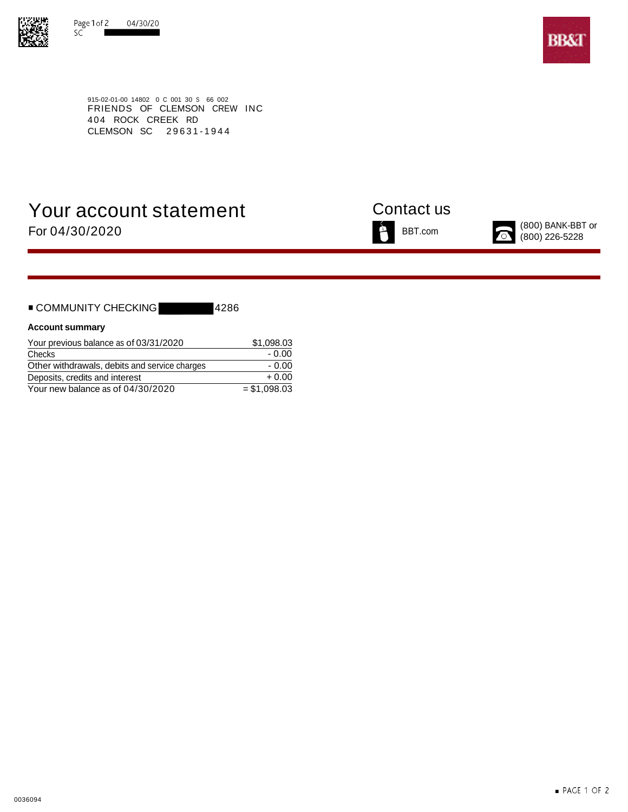



915-02-01-00 14802 0 C 001 30 S 66 002 FRIENDS OF CLEMSON CREW INC 404 ROCK CREEK RD CLEMSON SC 29631-1944

# Your account statement Contact us For  $04/30/2020$  BANK-BBT or BBT.com BBT.com (800) BANK-BBT or





| ■ COMMUNITY CHECKING |  | 14286 |
|----------------------|--|-------|
|                      |  |       |

### **Account summary**

| Your previous balance as of 03/31/2020        | \$1.098.03    |
|-----------------------------------------------|---------------|
| Checks                                        | - 0.00        |
| Other withdrawals, debits and service charges | $-0.00$       |
| Deposits, credits and interest                | $+0.00$       |
| Your new balance as of 04/30/2020             | $= $1.098.03$ |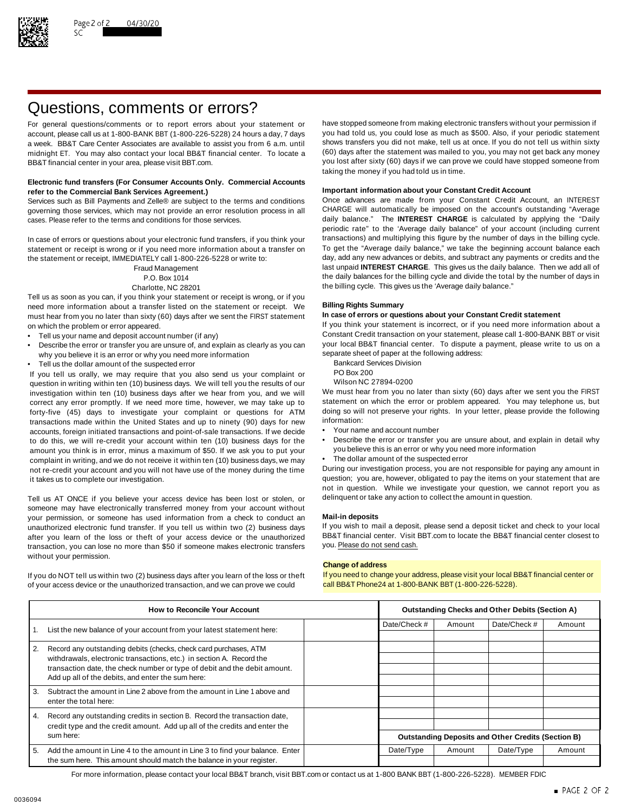

# Questions, comments or errors?

account, please call us at 1-800-BANK BBT (1-800-226-5228) 24 hours a day, 7 days midnight ET. You may also contact your local BB&T financial center. To locate a BB&T financial center in your area, please visit BBT.com. The state of the state of the state of the state of the state of the state of the state of the state of the state of the state of the state of the state of the stat

### **Electronic fund transfers (For Consumer Accounts Only. Commercial Accounts Important information about your Constant Credit Account refer to the Commercial Bank Services Agreement.)**

governing those services, which may not provide an error resolution process in all CHARGE will automatically be imposed on the account's outstanding "Average cases. Please refer to the terms and conditions for those services. daily balance." The **INTEREST CHARGE** is calculated by applying the "Daily

statement or receipt is wrong or if you need more information about a transfer on To get the "Average daily balance," we take the beginning account balance each<br>the statement or receipt IMMFDIATFLY call 1-800-226-5228 or w the statement or receipt, IMMEDIATELY call 1-800-226-5228 or write to:

Tell us as soon as you can, if you think your statement or receipt is wrong, or if you need more information about a transfer listed on the statement or receipt. We **Billing Rights Summary** must hear from you no later than sixty (60) days after we sent the FIRST statement on which the problem or error appeared. If you think your statement is incorrect, or if you need more information about a

- 
- Describe the error or transfer you are unsure of, and explain as clearly as you can your local BB&T financial center. To dispute a why you believe it is an error or why you need more information why you believe it is an error or why you need more information<br>Tell us the dollar amount of the suspected error and the following address Division
- Fell us the dollar amount of the suspected error<br>Vou tell us orally we may require that you also send us your complaint or BO Box 200

If you tell us orally, we may require that you also send us your complaint or PO Box 200<br>question in writing within ten (10) business days. We will tell you the results of our Wilson NC 27894-0200 question in writing within ten (10) business days. We will tell you the results of our Wilson NC 27894-0200<br>investigation within ten (10) business days after we hear from you, and we will We must hear from you no later tha investigation within ten (10) business days after we hear from you, and we will We must hear from you no later than sixty (60) days after we sent you the FIRST<br>correct any error promptly. If we need more time, however, we correct any error promptly. If we need more time, however, we may take up to statement on which the error or problem appeared. You may telephone us, but If or the endlowing to the more time, however, we may take up to the forty-five (45) days to investigate your complaint or questions for ATM doing so will<br>transactions made within the United States and up to pinety (90) days for new information: transactions made within the United States and up to ninety (90) days for new information:<br>accounts foreign initiated transactions and point-of-sale transactions. If we decide • Your name and account number accounts, foreign initiated transactions and point-of-sale transactions. If we decide amount you think is in error, minus a maximum of \$50. If we ask you to put your complaint in writing, and we do not receive it within ten (10) business days, we may • The dollar amount of the suspected error not re-credit your account and you will not have use of the money during the time During our investigation process, you are not responsible for paying any amount in

Tell us AT ONCE if you believe your access device has been lost or stolen, or delinquent or take any action to collect the amount in question. someone may have electronically transferred money from your account without your permission, or someone has used information from a check to conduct an **Mail-in deposits** unauthorized electronic fund transfer. If you tell us within two (2) business days If you wish to mail a deposit, please send a deposit ticket and check to your local after vou learn of the loss or theft of your access dev after you learn of the loss or theft of your access device or the unauthorized BB&T financial center. Visit l<br>transaction, you can lose no more than \$50 if someone makes electronic transfers you. Please do not send cash. transaction, you can lose no more than \$50 if someone makes electronic transfers without your permission.

of your access device or the unauthorized transaction, and we can prove we could call BB&T Phone24 at 1-800-BANK BBT (1-800-226-5228).

For general questions/comments or to report errors about your statement or have stopped someone from making electronic transfers without your permission if account please call us at 1-800-BANK BBT (1-800-226-5228) 24 hours a week. BB&T Care Center Associates are available to assist you from 6 a.m. until shows transfers you did not make, tell us at once. If you do not tell us within sixty<br>midnight FT You may also contact your local BB&T finan taking the money if you had told us in time.

Services such as Bill Payments and Zelle® are subject to the terms and conditions Once advances are made from your Constant Credit Account, an INTEREST periodic rate" to the 'Average daily balance" of your account (including current In case of errors or questions about your electronic fund transfers, if you think your transactions) and multiplying this figure by the number of days in the billing cycle.<br>Statement or receipt is wrong or if you need more Fraud Management last unpaid **INTEREST CHARGE**. This gives us the daily balance. Then we add all of P.O. Box 1014 the daily balances for the billing cycle and divide the total by the number of days in Charlotte, NC 28201 **the billing cycle.** This gives us the 'Average daily balance."

Tell us your name and deposit account number (if any)<br>Constant Credit transaction on your statement, please call 1-800-BANK BBT or visit • Constant Credit transaction on your statement, please call 1-800-BANK BBT or visit

- 
- 
- 

- 
- to do this, we will re-credit your account within ten (10) business days for the Describe the error or transfer you are unsure about, and explain in detail why<br>amount you think is in error, minus a maximum of \$50. If we
	-

it takes us to complete our investigation. The statement of the statement that are question; you are, however, obligated to pay the items on your statement that are not in question. While we investigate your question, we cannot report you as

### **Change of address**

If you do NOT tell us within two (2) business days after you learn of the loss or theft If you need to change your address, please visit your local BB&T financial center or

|                  | <b>How to Reconcile Your Account</b>                                                                                           |              |        | <b>Outstanding Checks and Other Debits (Section A)</b>    |        |
|------------------|--------------------------------------------------------------------------------------------------------------------------------|--------------|--------|-----------------------------------------------------------|--------|
|                  | List the new balance of your account from your latest statement here:                                                          | Date/Check # | Amount | Date/Check #                                              | Amount |
| $\overline{2}$ . | Record any outstanding debits (checks, check card purchases, ATM                                                               |              |        |                                                           |        |
|                  | withdrawals, electronic transactions, etc.) in section A. Record the                                                           |              |        |                                                           |        |
|                  | transaction date, the check number or type of debit and the debit amount.<br>Add up all of the debits, and enter the sum here: |              |        |                                                           |        |
| 3.               | Subtract the amount in Line 2 above from the amount in Line 1 above and                                                        |              |        |                                                           |        |
|                  | enter the total here:                                                                                                          |              |        |                                                           |        |
| $\overline{4}$ . | Record any outstanding credits in section B. Record the transaction date,                                                      |              |        |                                                           |        |
|                  | credit type and the credit amount. Add up all of the credits and enter the                                                     |              |        |                                                           |        |
|                  | sum here:                                                                                                                      |              |        | <b>Outstanding Deposits and Other Credits (Section B)</b> |        |
| 5.               | Add the amount in Line 4 to the amount in Line 3 to find your balance. Enter                                                   | Date/Type    | Amount | Date/Type                                                 | Amount |
|                  | the sum here. This amount should match the balance in your register.                                                           |              |        |                                                           |        |

For more information, please contact your local BB&T branch, visit BBT.com or contact us at 1-800 BANK BBT (1-800-226-5228). MEMBER FDIC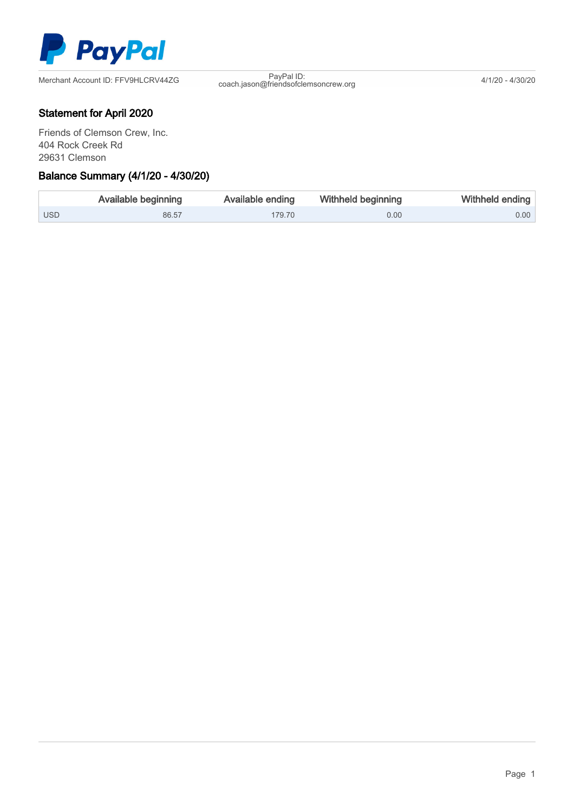

PayPal ID:<br>coach.jason@friendsofclemsoncrew.org 4/1/20 - 4/30/20

## Statement for April 2020

Friends of Clemson Crew, Inc. 404 Rock Creek Rd 29631 Clemson

## Ξ Balance Summary (4/1/20 - 4/30/20)

|            | <b>Available beginning</b> | Available ending | Withheld beginning | Withheld ending |
|------------|----------------------------|------------------|--------------------|-----------------|
| <b>USD</b> | 86.57                      | 179.70           | 0.00               | 0.00            |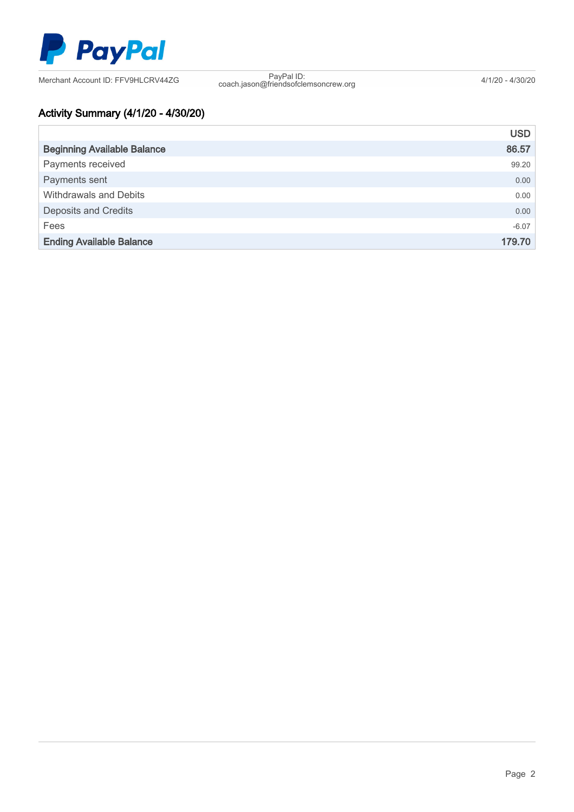

coach.jason@friendsofclemsoncrew.org 4/1/20 - 4/30/20

# Activity Summary (4/1/20 - 4/30/20)

|                                    | <b>USD</b> |
|------------------------------------|------------|
| <b>Beginning Available Balance</b> | 86.57      |
| Payments received                  | 99.20      |
| Payments sent                      | 0.00       |
| <b>Withdrawals and Debits</b>      | 0.00       |
| <b>Deposits and Credits</b>        | 0.00       |
| Fees                               | $-6.07$    |
| <b>Ending Available Balance</b>    | 179.70     |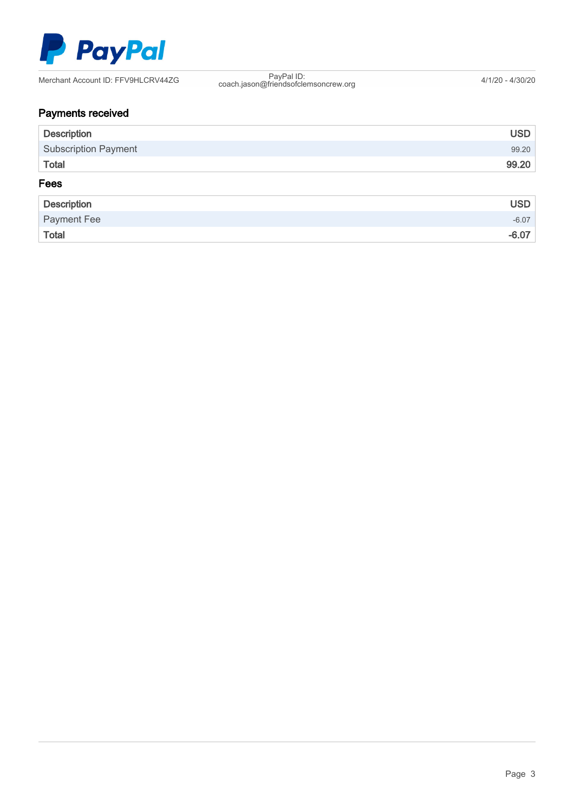

coach.jason@friendsofclemsoncrew.org 4/1/20 - 4/30/20

# Payments received

| <b>Description</b>          | <b>USD</b> |
|-----------------------------|------------|
| <b>Subscription Payment</b> | 99.20      |
| <b>Total</b>                | 99.20      |
| Fees                        |            |
| <b>Description</b>          | <b>USD</b> |
| Payment Fee                 | $-6.07$    |
| <b>Total</b>                | $-6.07$    |